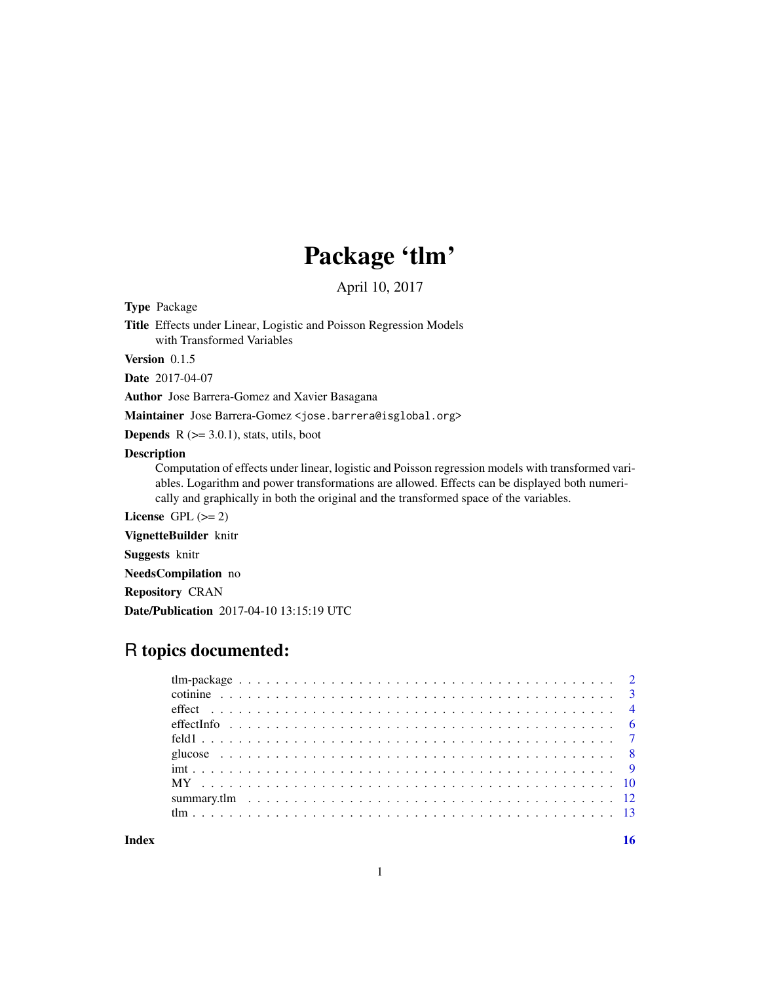## Package 'tlm'

April 10, 2017

<span id="page-0-0"></span>Type Package

Title Effects under Linear, Logistic and Poisson Regression Models with Transformed Variables

Version 0.1.5

Date 2017-04-07

Author Jose Barrera-Gomez and Xavier Basagana

Maintainer Jose Barrera-Gomez <jose.barrera@isglobal.org>

**Depends**  $R$  ( $>= 3.0.1$ ), stats, utils, boot

#### Description

Computation of effects under linear, logistic and Poisson regression models with transformed variables. Logarithm and power transformations are allowed. Effects can be displayed both numerically and graphically in both the original and the transformed space of the variables.

License GPL  $(>= 2)$ 

VignetteBuilder knitr

Suggests knitr

NeedsCompilation no

Repository CRAN

Date/Publication 2017-04-10 13:15:19 UTC

## R topics documented:

**Index** and the contract of the contract of the contract of the contract of the contract of the contract of the contract of the contract of the contract of the contract of the contract of the contract of the contract of th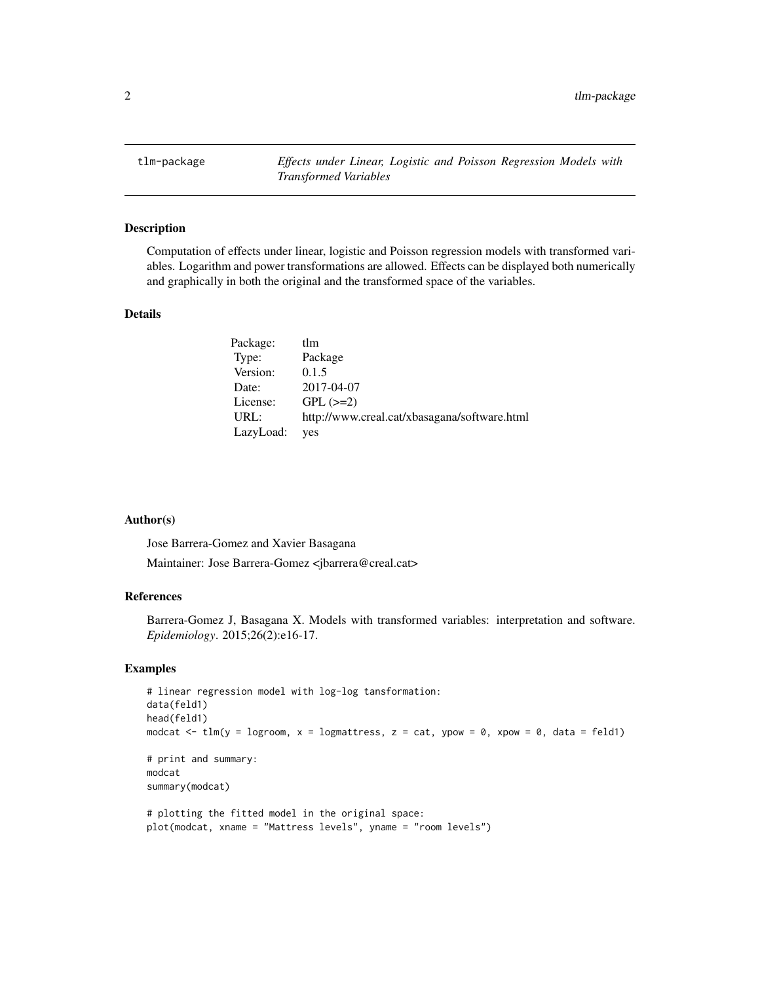<span id="page-1-0"></span>tlm-package *Effects under Linear, Logistic and Poisson Regression Models with Transformed Variables*

#### Description

Computation of effects under linear, logistic and Poisson regression models with transformed variables. Logarithm and power transformations are allowed. Effects can be displayed both numerically and graphically in both the original and the transformed space of the variables.

## Details

| Package:  | tlm                                          |
|-----------|----------------------------------------------|
| Type:     | Package                                      |
| Version:  | 0.1.5                                        |
| Date:     | 2017-04-07                                   |
| License:  | $GPL (=2)$                                   |
| URL:      | http://www.creal.cat/xbasagana/software.html |
| LazyLoad: | yes                                          |

#### Author(s)

Jose Barrera-Gomez and Xavier Basagana Maintainer: Jose Barrera-Gomez <jbarrera@creal.cat>

#### References

Barrera-Gomez J, Basagana X. Models with transformed variables: interpretation and software. *Epidemiology*. 2015;26(2):e16-17.

## Examples

```
# linear regression model with log-log tansformation:
data(feld1)
head(feld1)
modcat \leq tlm(y = logroom, x = logmattress, z = cat, ypow = 0, xpow = 0, data = feld1)
# print and summary:
modcat
summary(modcat)
# plotting the fitted model in the original space:
plot(modcat, xname = "Mattress levels", yname = "room levels")
```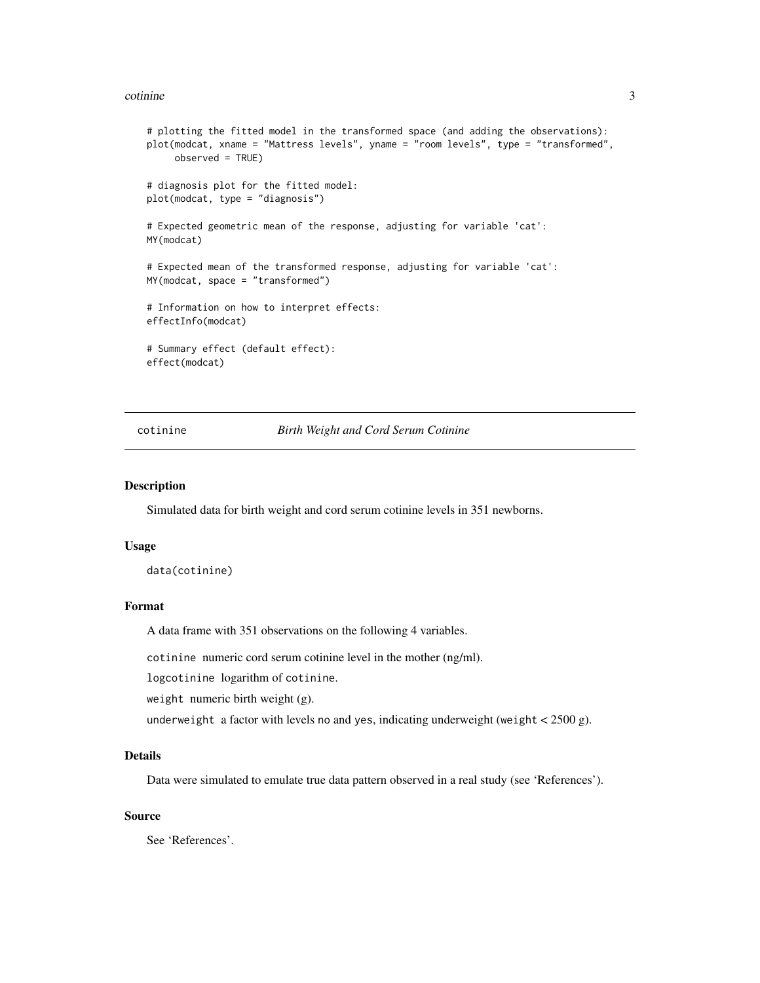#### <span id="page-2-0"></span>cotinine 3

```
# plotting the fitted model in the transformed space (and adding the observations):
plot(modcat, xname = "Mattress levels", yname = "room levels", type = "transformed",
     observed = TRUE)
# diagnosis plot for the fitted model:
plot(modcat, type = "diagnosis")
# Expected geometric mean of the response, adjusting for variable 'cat':
MY(modcat)
# Expected mean of the transformed response, adjusting for variable 'cat':
MY(modcat, space = "transformed")
# Information on how to interpret effects:
effectInfo(modcat)
# Summary effect (default effect):
effect(modcat)
```
cotinine *Birth Weight and Cord Serum Cotinine*

#### Description

Simulated data for birth weight and cord serum cotinine levels in 351 newborns.

#### Usage

```
data(cotinine)
```
#### Format

A data frame with 351 observations on the following 4 variables.

cotinine numeric cord serum cotinine level in the mother (ng/ml).

logcotinine logarithm of cotinine.

weight numeric birth weight (g).

underweight a factor with levels no and yes, indicating underweight (weight  $\lt$  2500 g).

#### Details

Data were simulated to emulate true data pattern observed in a real study (see 'References').

#### Source

See 'References'.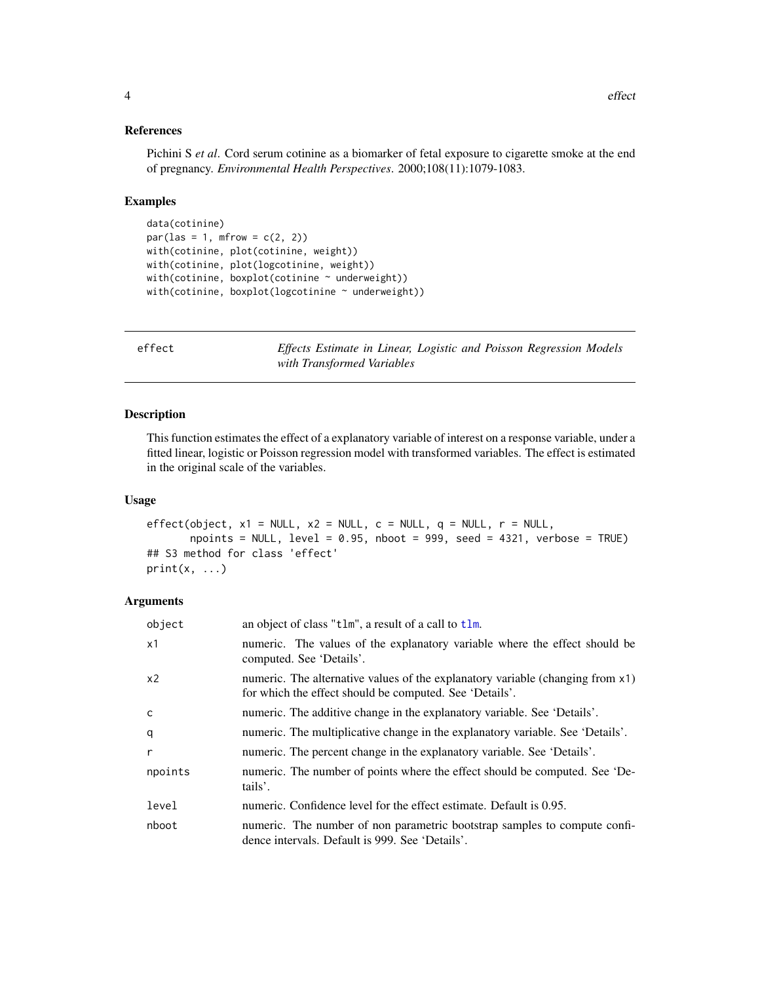#### <span id="page-3-0"></span>References

Pichini S *et al*. Cord serum cotinine as a biomarker of fetal exposure to cigarette smoke at the end of pregnancy. *Environmental Health Perspectives*. 2000;108(11):1079-1083.

#### Examples

```
data(cotinine)
par(las = 1, mfrow = c(2, 2))with(cotinine, plot(cotinine, weight))
with(cotinine, plot(logcotinine, weight))
with(cotinine, boxplot(cotinine \sim underweight))
with(cotinine, boxplot(logcotinine \sim underweight))
```
<span id="page-3-1"></span>effect *Effects Estimate in Linear, Logistic and Poisson Regression Models with Transformed Variables*

#### Description

This function estimates the effect of a explanatory variable of interest on a response variable, under a fitted linear, logistic or Poisson regression model with transformed variables. The effect is estimated in the original scale of the variables.

#### Usage

```
effect(object, x1 = NULL, x2 = NULL, c = NULL, q = NULL, r = NULL,
       npoints = NULL, level = 0.95, nboot = 999, seed = 4321, verbose = TRUE## S3 method for class 'effect'
print(x, \ldots)
```
## Arguments

| object         | an object of class "tlm", a result of a call to tlm.                                                                                      |
|----------------|-------------------------------------------------------------------------------------------------------------------------------------------|
| x1             | numeric. The values of the explanatory variable where the effect should be<br>computed. See 'Details'.                                    |
| x <sub>2</sub> | numeric. The alternative values of the explanatory variable (changing from x1)<br>for which the effect should be computed. See 'Details'. |
| C              | numeric. The additive change in the explanatory variable. See 'Details'.                                                                  |
| q              | numeric. The multiplicative change in the explanatory variable. See 'Details'.                                                            |
| r              | numeric. The percent change in the explanatory variable. See 'Details'.                                                                   |
| npoints        | numeric. The number of points where the effect should be computed. See 'De-<br>tails'.                                                    |
| level          | numeric. Confidence level for the effect estimate. Default is 0.95.                                                                       |
| nboot          | numeric. The number of non parametric bootstrap samples to compute confi-<br>dence intervals. Default is 999. See 'Details'.              |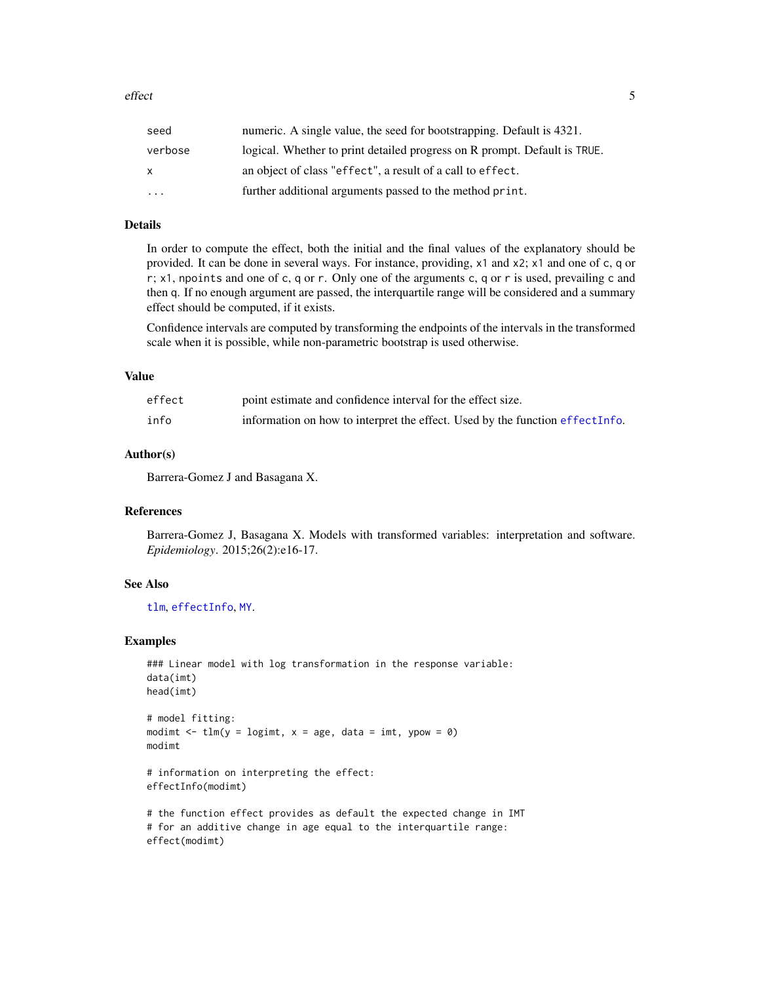<span id="page-4-0"></span>

| seed     | numeric. A single value, the seed for bootstrapping. Default is 4321.     |
|----------|---------------------------------------------------------------------------|
| verbose  | logical. Whether to print detailed progress on R prompt. Default is TRUE. |
| X        | an object of class "effect", a result of a call to effect.                |
| $\cdots$ | further additional arguments passed to the method print.                  |

## Details

In order to compute the effect, both the initial and the final values of the explanatory should be provided. It can be done in several ways. For instance, providing, x1 and x2; x1 and one of c, q or r; x1, npoints and one of c, q or r. Only one of the arguments c, q or r is used, prevailing c and then q. If no enough argument are passed, the interquartile range will be considered and a summary effect should be computed, if it exists.

Confidence intervals are computed by transforming the endpoints of the intervals in the transformed scale when it is possible, while non-parametric bootstrap is used otherwise.

#### Value

| effect | point estimate and confidence interval for the effect size.                   |
|--------|-------------------------------------------------------------------------------|
| info   | information on how to interpret the effect. Used by the function effect Info. |

#### Author(s)

Barrera-Gomez J and Basagana X.

## References

Barrera-Gomez J, Basagana X. Models with transformed variables: interpretation and software. *Epidemiology*. 2015;26(2):e16-17.

#### See Also

[tlm](#page-12-1), [effectInfo](#page-5-1), [MY](#page-9-1).

#### Examples

```
### Linear model with log transformation in the response variable:
data(imt)
head(imt)
# model fitting:
modimt \leq tlm(y = logimt, x = age, data = imt, ypow = 0)
modimt
# information on interpreting the effect:
```
effectInfo(modimt)

```
# the function effect provides as default the expected change in IMT
# for an additive change in age equal to the interquartile range:
effect(modimt)
```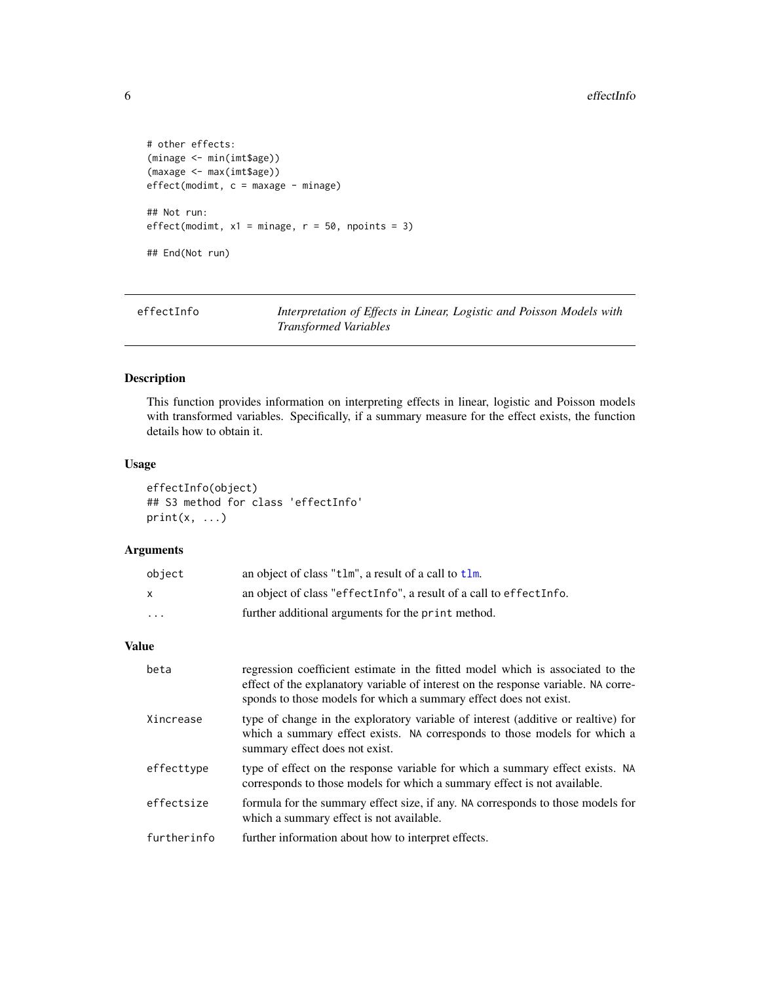```
# other effects:
(minage <- min(imt$age))
(maxage <- max(imt$age))
effect(modimt, c = maxage - minage)## Not run:
effect(modimt, x1 = minage, r = 50, npoints = 3)
## End(Not run)
```
<span id="page-5-1"></span>

| effectInfo | Interpretation of Effects in Linear, Logistic and Poisson Models with |
|------------|-----------------------------------------------------------------------|
|            | <i>Transformed Variables</i>                                          |

## Description

This function provides information on interpreting effects in linear, logistic and Poisson models with transformed variables. Specifically, if a summary measure for the effect exists, the function details how to obtain it.

#### Usage

```
effectInfo(object)
## S3 method for class 'effectInfo'
print(x, \ldots)
```
#### Arguments

| object   | an object of class "tlm", a result of a call to tlm.               |
|----------|--------------------------------------------------------------------|
|          | an object of class "effectInfo", a result of a call to effectInfo. |
| $\cdots$ | further additional arguments for the print method.                 |

#### Value

| beta        | regression coefficient estimate in the fitted model which is associated to the<br>effect of the explanatory variable of interest on the response variable. NA corre-<br>sponds to those models for which a summary effect does not exist. |
|-------------|-------------------------------------------------------------------------------------------------------------------------------------------------------------------------------------------------------------------------------------------|
| Xincrease   | type of change in the exploratory variable of interest (additive or realtive) for<br>which a summary effect exists. NA corresponds to those models for which a<br>summary effect does not exist.                                          |
| effecttype  | type of effect on the response variable for which a summary effect exists. NA<br>corresponds to those models for which a summary effect is not available.                                                                                 |
| effectsize  | formula for the summary effect size, if any. NA corresponds to those models for<br>which a summary effect is not available.                                                                                                               |
| furtherinfo | further information about how to interpret effects.                                                                                                                                                                                       |

<span id="page-5-0"></span>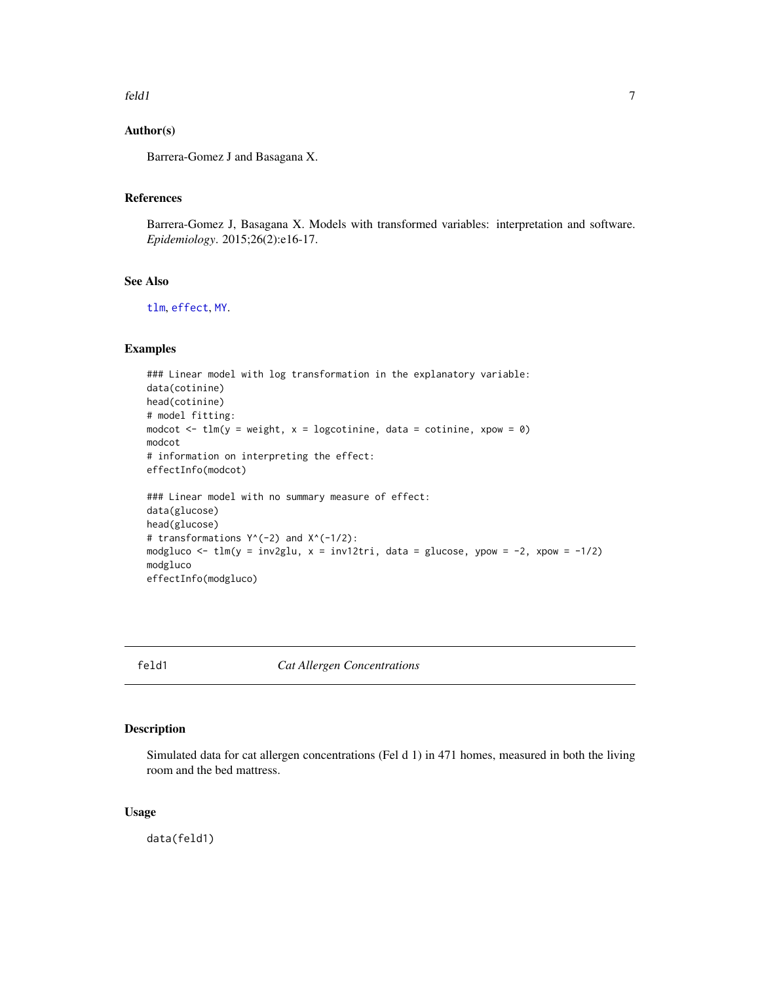<span id="page-6-0"></span>feld1 7 and 7 and 7 and 7 and 7 and 7 and 7 and 7 and 7 and 7 and 7 and 7 and 7 and 7 and 7 and 7 and 7 and 7 and 7 and 7 and 7 and 7 and 7 and 7 and 7 and 7 and 7 and 7 and 7 and 7 and 7 and 7 and 7 and 7 and 7 and 7 and

### Author(s)

Barrera-Gomez J and Basagana X.

## References

Barrera-Gomez J, Basagana X. Models with transformed variables: interpretation and software. *Epidemiology*. 2015;26(2):e16-17.

## See Also

[tlm](#page-12-1), [effect](#page-3-1), [MY](#page-9-1).

## Examples

```
### Linear model with log transformation in the explanatory variable:
data(cotinine)
head(cotinine)
# model fitting:
modcot \leq tlm(y = weight, x = logcotinine, data = cotinine, xpow = 0)
modcot
# information on interpreting the effect:
effectInfo(modcot)
### Linear model with no summary measure of effect:
data(glucose)
head(glucose)
# transformations Y^(-2) and X^(-1/2):
modgluco <- tlm(y = inv2glu, x = inv12tri, data = glucose, ypow = -2, xpow = -1/2)modgluco
effectInfo(modgluco)
```
#### feld1 *Cat Allergen Concentrations*

## Description

Simulated data for cat allergen concentrations (Fel d 1) in 471 homes, measured in both the living room and the bed mattress.

## Usage

data(feld1)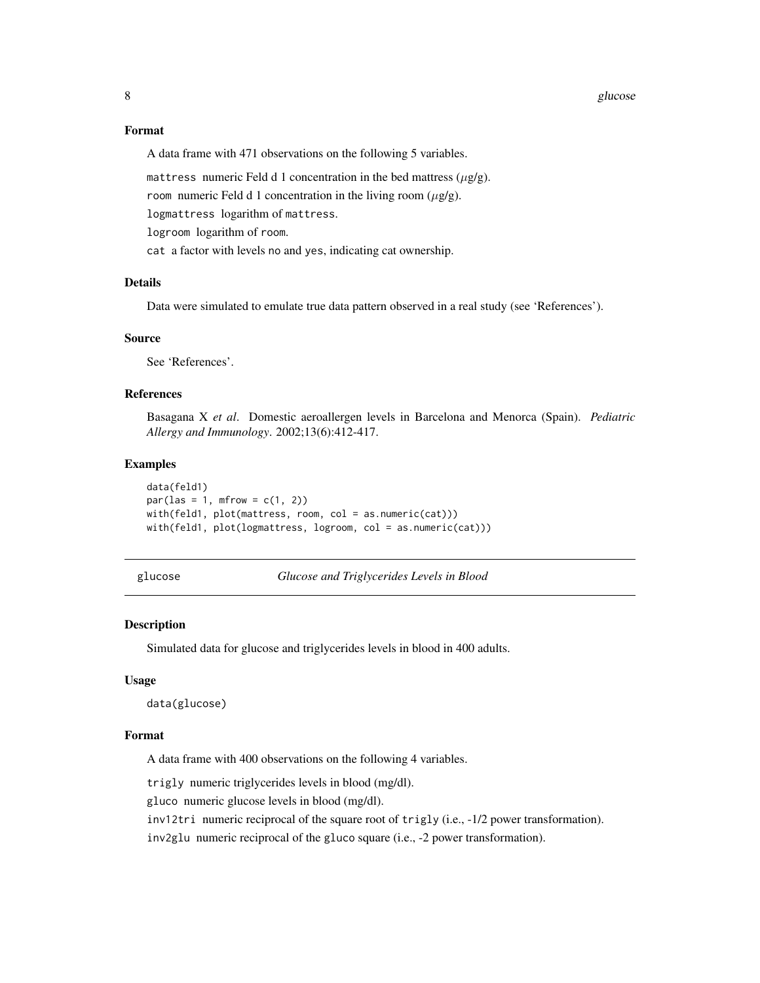#### <span id="page-7-0"></span>8 glucose to the contract of the contract of the contract of the contract of the contract of the contract of the contract of the contract of the contract of the contract of the contract of the contract of the contract of t

#### Format

A data frame with 471 observations on the following 5 variables.

mattress numeric Feld d 1 concentration in the bed mattress  $(\mu g/g)$ .

room numeric Feld d 1 concentration in the living room  $(\mu g/g)$ .

logmattress logarithm of mattress.

logroom logarithm of room.

cat a factor with levels no and yes, indicating cat ownership.

#### Details

Data were simulated to emulate true data pattern observed in a real study (see 'References').

#### Source

See 'References'.

#### References

Basagana X *et al*. Domestic aeroallergen levels in Barcelona and Menorca (Spain). *Pediatric Allergy and Immunology*. 2002;13(6):412-417.

#### Examples

```
data(feld1)
par(las = 1, mfrom = c(1, 2))with(feld1, plot(mattress, room, col = as.numeric(cat)))
with(feld1, plot(logmattress, logroom, col = as.numeric(cat)))
```
- 
- glucose *Glucose and Triglycerides Levels in Blood*

#### Description

Simulated data for glucose and triglycerides levels in blood in 400 adults.

#### Usage

data(glucose)

#### Format

A data frame with 400 observations on the following 4 variables.

trigly numeric triglycerides levels in blood (mg/dl).

gluco numeric glucose levels in blood (mg/dl).

inv12tri numeric reciprocal of the square root of trigly (i.e., -1/2 power transformation).

inv2glu numeric reciprocal of the gluco square (i.e., -2 power transformation).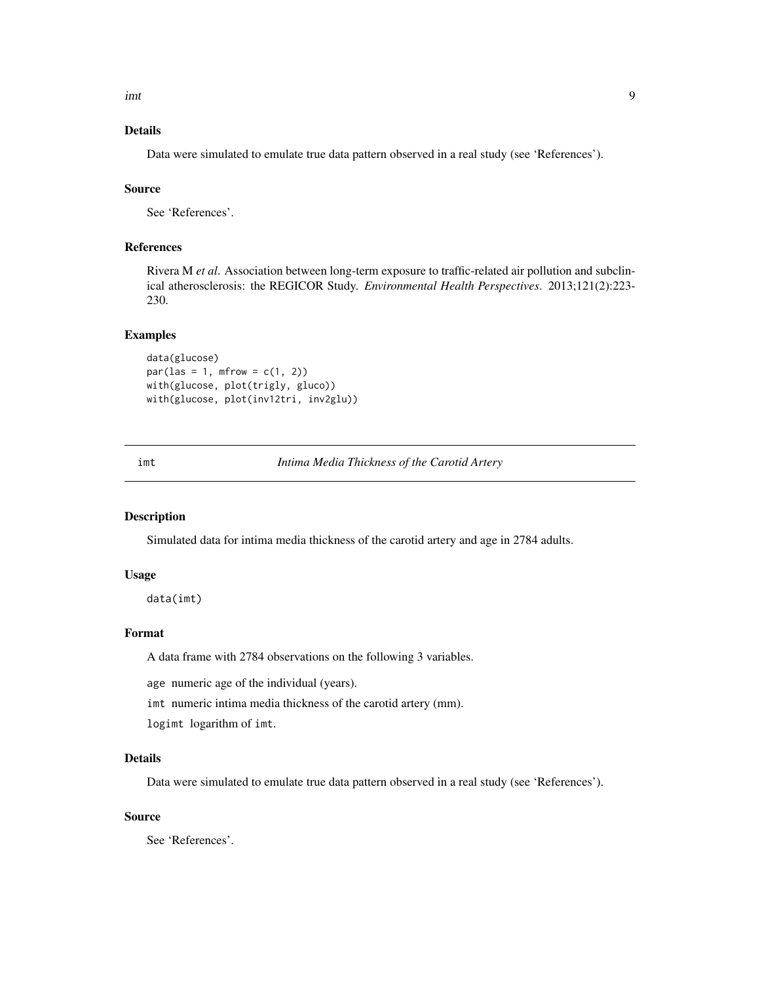<span id="page-8-0"></span>imt 9

## Details

Data were simulated to emulate true data pattern observed in a real study (see 'References').

#### Source

See 'References'.

## References

Rivera M *et al*. Association between long-term exposure to traffic-related air pollution and subclinical atherosclerosis: the REGICOR Study. *Environmental Health Perspectives*. 2013;121(2):223- 230.

## Examples

data(glucose)  $par(las = 1, mfrom = c(1, 2))$ with(glucose, plot(trigly, gluco)) with(glucose, plot(inv12tri, inv2glu))

#### imt *Intima Media Thickness of the Carotid Artery*

#### Description

Simulated data for intima media thickness of the carotid artery and age in 2784 adults.

#### Usage

data(imt)

#### Format

A data frame with 2784 observations on the following 3 variables.

age numeric age of the individual (years).

imt numeric intima media thickness of the carotid artery (mm).

logimt logarithm of imt.

#### Details

Data were simulated to emulate true data pattern observed in a real study (see 'References').

#### Source

See 'References'.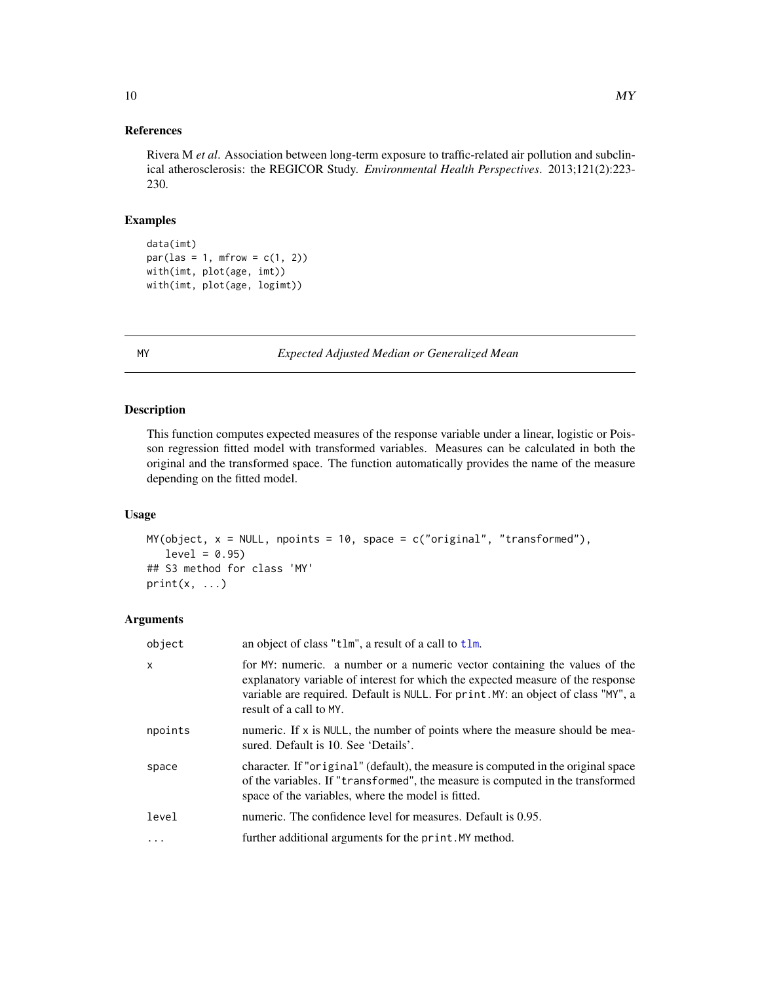## <span id="page-9-0"></span>References

Rivera M *et al*. Association between long-term exposure to traffic-related air pollution and subclinical atherosclerosis: the REGICOR Study. *Environmental Health Perspectives*. 2013;121(2):223- 230.

## Examples

data(imt)  $par(las = 1, mfrom = c(1, 2))$ with(imt, plot(age, imt)) with(imt, plot(age, logimt))

<span id="page-9-1"></span>MY *Expected Adjusted Median or Generalized Mean*

## Description

This function computes expected measures of the response variable under a linear, logistic or Poisson regression fitted model with transformed variables. Measures can be calculated in both the original and the transformed space. The function automatically provides the name of the measure depending on the fitted model.

#### Usage

 $MY(object, x = NULL, npoints = 10, space = c("original", "transformed"),$  $level = 0.95$ ## S3 method for class 'MY'  $print(x, \ldots)$ 

#### Arguments

| object   | an object of class "tlm", a result of a call to tlm.                                                                                                                                                                                                                          |
|----------|-------------------------------------------------------------------------------------------------------------------------------------------------------------------------------------------------------------------------------------------------------------------------------|
| x        | for MY: numeric. a number or a numeric vector containing the values of the<br>explanatory variable of interest for which the expected measure of the response<br>variable are required. Default is NULL. For print. MY: an object of class "MY", a<br>result of a call to MY. |
| npoints  | numeric. If $x$ is NULL, the number of points where the measure should be mea-<br>sured. Default is 10. See 'Details'.                                                                                                                                                        |
| space    | character. If "original" (default), the measure is computed in the original space<br>of the variables. If "transformed", the measure is computed in the transformed<br>space of the variables, where the model is fitted.                                                     |
| level    | numeric. The confidence level for measures. Default is 0.95.                                                                                                                                                                                                                  |
| $\ddots$ | further additional arguments for the print. MY method.                                                                                                                                                                                                                        |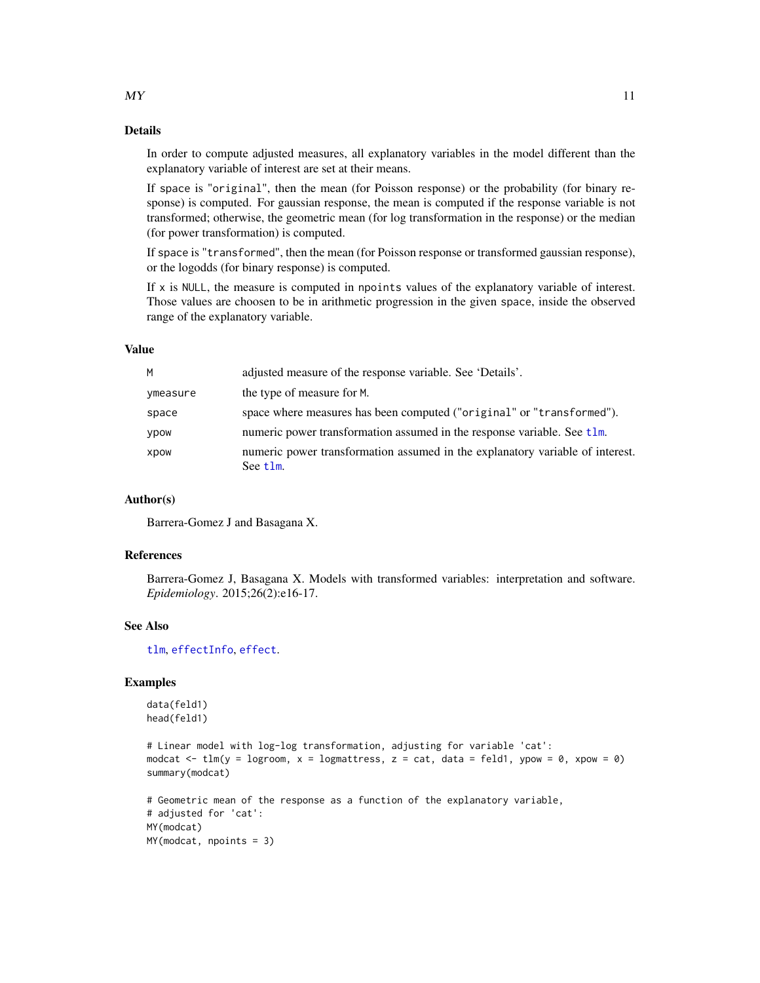<span id="page-10-0"></span>In order to compute adjusted measures, all explanatory variables in the model different than the explanatory variable of interest are set at their means.

If space is "original", then the mean (for Poisson response) or the probability (for binary response) is computed. For gaussian response, the mean is computed if the response variable is not transformed; otherwise, the geometric mean (for log transformation in the response) or the median (for power transformation) is computed.

If space is "transformed", then the mean (for Poisson response or transformed gaussian response), or the logodds (for binary response) is computed.

If x is NULL, the measure is computed in npoints values of the explanatory variable of interest. Those values are choosen to be in arithmetic progression in the given space, inside the observed range of the explanatory variable.

#### Value

| adjusted measure of the response variable. See 'Details'.                                 |
|-------------------------------------------------------------------------------------------|
| the type of measure for M.                                                                |
| space where measures has been computed ("original" or "transformed").                     |
| numeric power transformation assumed in the response variable. See t1m.                   |
| numeric power transformation assumed in the explanatory variable of interest.<br>See tlm. |
|                                                                                           |

#### Author(s)

Barrera-Gomez J and Basagana X.

## References

Barrera-Gomez J, Basagana X. Models with transformed variables: interpretation and software. *Epidemiology*. 2015;26(2):e16-17.

#### See Also

[tlm](#page-12-1), [effectInfo](#page-5-1), [effect](#page-3-1).

## Examples

```
data(feld1)
head(feld1)
```

```
# Linear model with log-log transformation, adjusting for variable 'cat':
modcat \le tlm(y = logroom, x = logmattress, z = cat, data = feld1, ypow = 0, xpow = 0)
summary(modcat)
```

```
# Geometric mean of the response as a function of the explanatory variable,
# adjusted for 'cat':
MY(modcat)
MY(modcat, npoints = 3)
```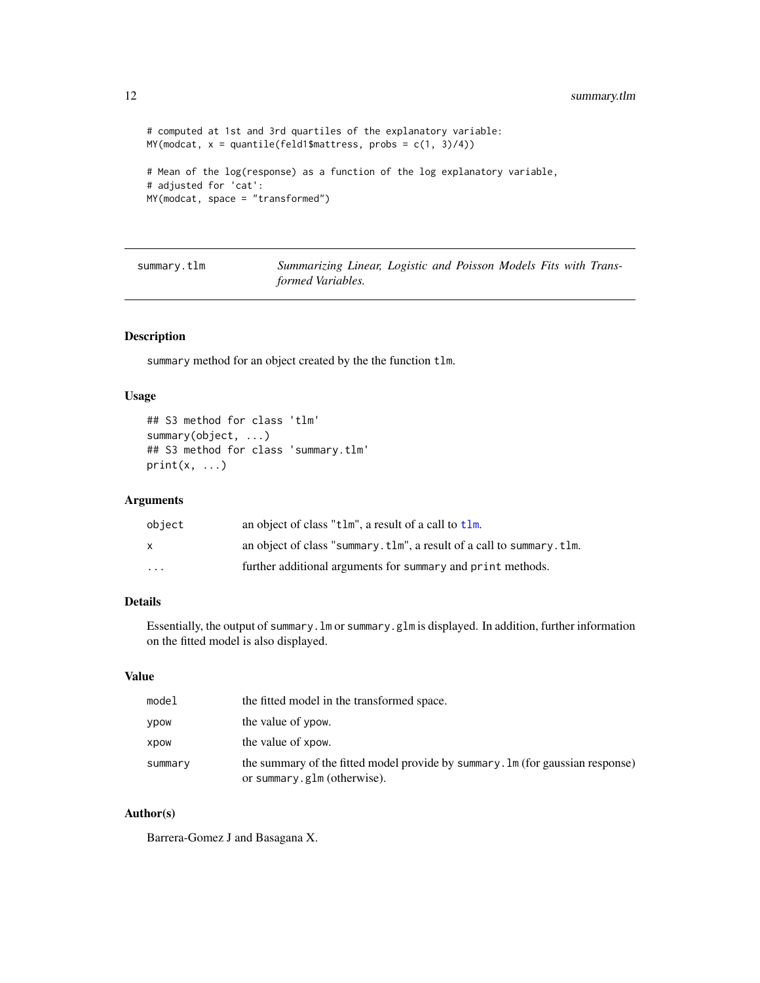```
# computed at 1st and 3rd quartiles of the explanatory variable:
MY(modcat, x = quantile(feld1$mattrees, probes = c(1, 3)/4))# Mean of the log(response) as a function of the log explanatory variable,
# adjusted for 'cat':
MY(modcat, space = "transformed")
```

| summary.tlm |  |
|-------------|--|
|-------------|--|

Summarizing Linear, Logistic and Poisson Models Fits with Trans*formed Variables.*

## Description

summary method for an object created by the the function tlm.

## Usage

```
## S3 method for class 'tlm'
summary(object, ...)
## S3 method for class 'summary.tlm'
print(x, \ldots)
```
#### Arguments

| object | an object of class "tlm", a result of a call to tlm.                 |
|--------|----------------------------------------------------------------------|
| X      | an object of class "summary.tlm", a result of a call to summary.tlm. |
| .      | further additional arguments for summary and print methods.          |

## Details

Essentially, the output of summary.lm or summary.glm is displayed. In addition, further information on the fitted model is also displayed.

## Value

| model   | the fitted model in the transformed space.                                                                    |  |
|---------|---------------------------------------------------------------------------------------------------------------|--|
| ypow    | the value of ypow.                                                                                            |  |
| xpow    | the value of xpow.                                                                                            |  |
| summary | the summary of the fitted model provide by summary. Im (for gaussian response)<br>or summary.glm (otherwise). |  |

## Author(s)

Barrera-Gomez J and Basagana X.

<span id="page-11-0"></span>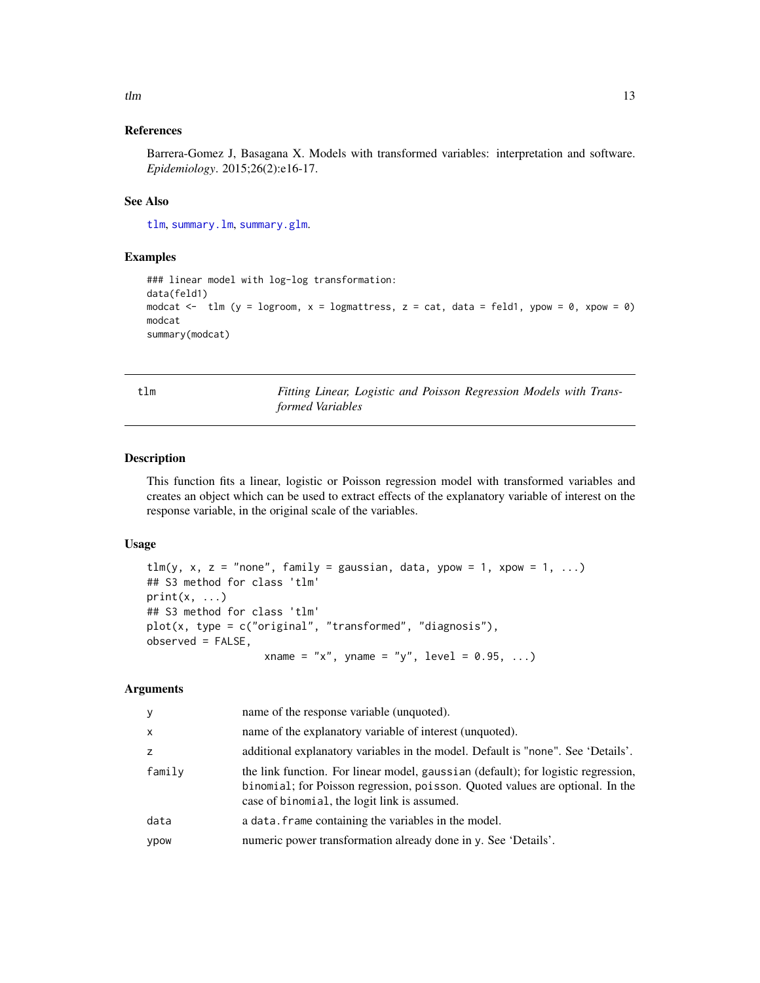#### <span id="page-12-0"></span> $t \ln \frac{13}{2}$

### References

Barrera-Gomez J, Basagana X. Models with transformed variables: interpretation and software. *Epidemiology*. 2015;26(2):e16-17.

#### See Also

[tlm](#page-12-1), [summary.lm](#page-0-0), [summary.glm](#page-0-0).

#### Examples

```
### linear model with log-log transformation:
data(feld1)
modcat \leq tlm (y = logroom, x = logmattress, z = cat, data = feld1, ypow = 0, xpow = 0)
modcat
summary(modcat)
```
<span id="page-12-1"></span>tlm *Fitting Linear, Logistic and Poisson Regression Models with Transformed Variables*

#### Description

This function fits a linear, logistic or Poisson regression model with transformed variables and creates an object which can be used to extract effects of the explanatory variable of interest on the response variable, in the original scale of the variables.

#### Usage

```
tlm(y, x, z = "none", family = gaussian, data, ypow = 1, xpow = 1, ...)## S3 method for class 'tlm'
print(x, \ldots)## S3 method for class 'tlm'
plot(x, type = c("original", "transformed", "diagnosis"),
observed = FALSE,
                   xname = "x", yname = "y", level = 0.95, ...)
```
#### Arguments

| y            | name of the response variable (unquoted).                                                                                                                                                                          |  |
|--------------|--------------------------------------------------------------------------------------------------------------------------------------------------------------------------------------------------------------------|--|
| $\mathsf{x}$ | name of the explanatory variable of interest (unquoted).                                                                                                                                                           |  |
| z            | additional explanatory variables in the model. Default is "none". See 'Details'.                                                                                                                                   |  |
| family       | the link function. For linear model, gaussian (default); for logistic regression,<br>binomial; for Poisson regression, poisson. Quoted values are optional. In the<br>case of binomial, the logit link is assumed. |  |
| data         | a data. frame containing the variables in the model.                                                                                                                                                               |  |
| ypow         | numeric power transformation already done in y. See 'Details'.                                                                                                                                                     |  |
|              |                                                                                                                                                                                                                    |  |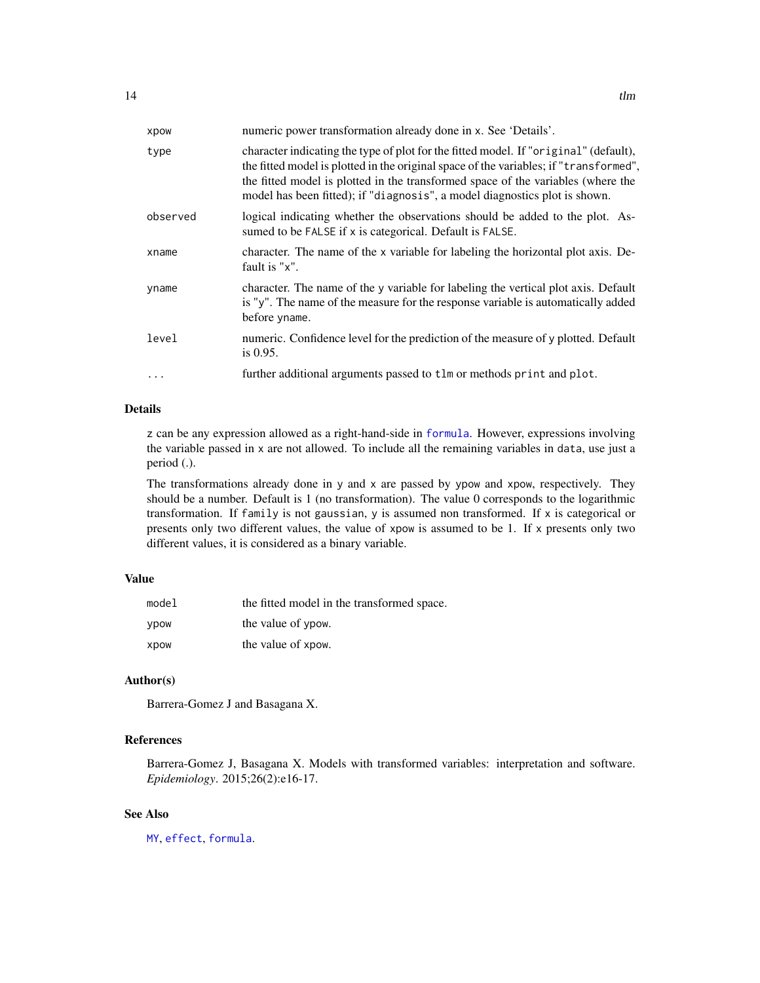<span id="page-13-0"></span>

| xpow     | numeric power transformation already done in x. See 'Details'.                                                                                                                                                                                                                                                                                  |
|----------|-------------------------------------------------------------------------------------------------------------------------------------------------------------------------------------------------------------------------------------------------------------------------------------------------------------------------------------------------|
| type     | character indicating the type of plot for the fitted model. If "original" (default),<br>the fitted model is plotted in the original space of the variables; if "transformed",<br>the fitted model is plotted in the transformed space of the variables (where the<br>model has been fitted); if "diagnosis", a model diagnostics plot is shown. |
| observed | logical indicating whether the observations should be added to the plot. As-<br>sumed to be FALSE if x is categorical. Default is FALSE.                                                                                                                                                                                                        |
| xname    | character. The name of the x variable for labeling the horizontal plot axis. De-<br>fault is "x".                                                                                                                                                                                                                                               |
| yname    | character. The name of the y variable for labeling the vertical plot axis. Default<br>is "y". The name of the measure for the response variable is automatically added<br>before yname.                                                                                                                                                         |
| level    | numeric. Confidence level for the prediction of the measure of y plotted. Default<br>is $0.95$ .                                                                                                                                                                                                                                                |
| $\ddots$ | further additional arguments passed to tlm or methods print and plot.                                                                                                                                                                                                                                                                           |

## Details

z can be any expression allowed as a right-hand-side in [formula](#page-0-0). However, expressions involving the variable passed in x are not allowed. To include all the remaining variables in data, use just a period (.).

The transformations already done in y and x are passed by ypow and xpow, respectively. They should be a number. Default is 1 (no transformation). The value 0 corresponds to the logarithmic transformation. If family is not gaussian, y is assumed non transformed. If x is categorical or presents only two different values, the value of xpow is assumed to be 1. If x presents only two different values, it is considered as a binary variable.

## Value

| model       | the fitted model in the transformed space. |
|-------------|--------------------------------------------|
| <b>VDOW</b> | the value of ypow.                         |
| xpow        | the value of xpow.                         |

#### Author(s)

Barrera-Gomez J and Basagana X.

## References

Barrera-Gomez J, Basagana X. Models with transformed variables: interpretation and software. *Epidemiology*. 2015;26(2):e16-17.

## See Also

[MY](#page-9-1), [effect](#page-3-1), [formula](#page-0-0).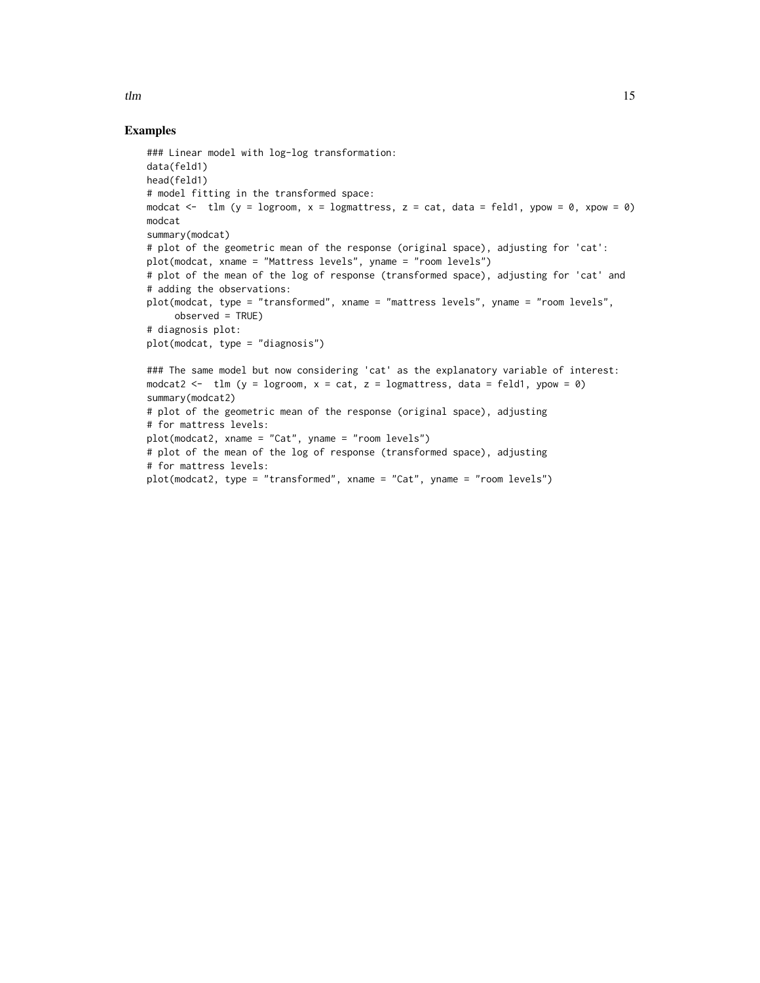#### Examples

```
### Linear model with log-log transformation:
data(feld1)
head(feld1)
# model fitting in the transformed space:
modcat \le tlm (y = logroom, x = logmattress, z = cat, data = feld1, ypow = 0, xpow = 0)
modcat
summary(modcat)
# plot of the geometric mean of the response (original space), adjusting for 'cat':
plot(modcat, xname = "Mattress levels", yname = "room levels")
# plot of the mean of the log of response (transformed space), adjusting for 'cat' and
# adding the observations:
plot(modcat, type = "transformed", xname = "mattress levels", yname = "room levels",
     observed = TRUE)
# diagnosis plot:
plot(modcat, type = "diagnosis")
### The same model but now considering 'cat' as the explanatory variable of interest:
modcat2 <- tlm (y = logroom, x = cat, z = logmattress, data = feld1, ypow = 0)
summary(modcat2)
# plot of the geometric mean of the response (original space), adjusting
# for mattress levels:
plot(modcat2, xname = "Cat", yname = "room levels")
# plot of the mean of the log of response (transformed space), adjusting
# for mattress levels:
plot(modcat2, type = "transformed", xname = "Cat", yname = "room levels")
```
 $t \ln \frac{15}{15}$